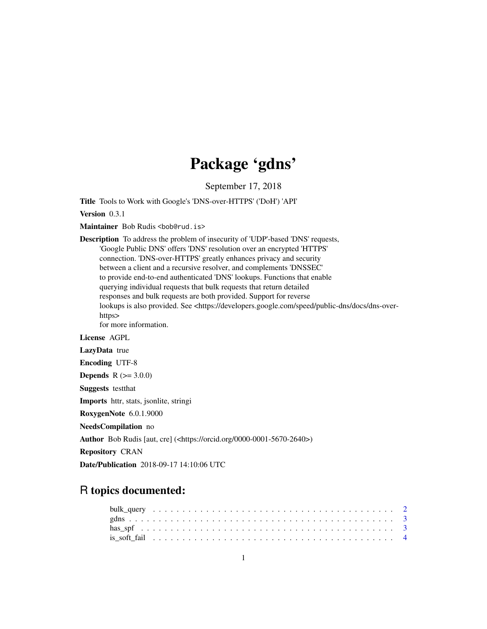## Package 'gdns'

September 17, 2018

Title Tools to Work with Google's 'DNS-over-HTTPS' ('DoH') 'API'

Version 0.3.1

Maintainer Bob Rudis <br/>bob@rud.is>

Description To address the problem of insecurity of 'UDP'-based 'DNS' requests, 'Google Public DNS' offers 'DNS' resolution over an encrypted 'HTTPS' connection. 'DNS-over-HTTPS' greatly enhances privacy and security between a client and a recursive resolver, and complements 'DNSSEC' to provide end-to-end authenticated 'DNS' lookups. Functions that enable querying individual requests that bulk requests that return detailed responses and bulk requests are both provided. Support for reverse lookups is also provided. See <https://developers.google.com/speed/public-dns/docs/dns-overhttps> for more information. License AGPL LazyData true Encoding UTF-8 **Depends**  $R (= 3.0.0)$ Suggests testthat Imports httr, stats, jsonlite, stringi RoxygenNote 6.0.1.9000 NeedsCompilation no Author Bob Rudis [aut, cre] (<https://orcid.org/0000-0001-5670-2640>) Repository CRAN

Date/Publication 2018-09-17 14:10:06 UTC

### R topics documented: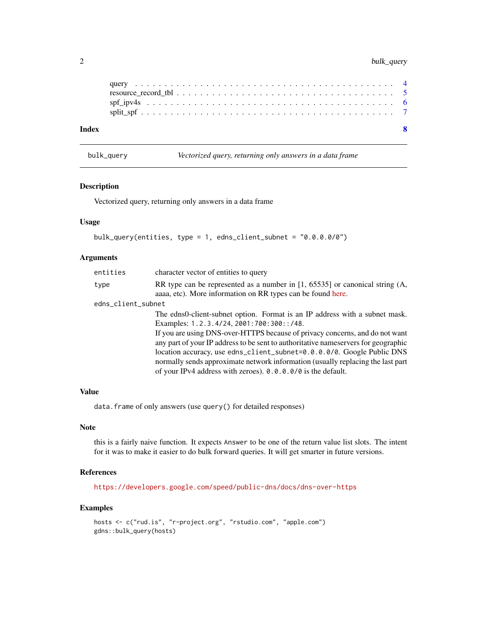#### <span id="page-1-0"></span>2 bulk\_query

| Index |  |  |  |  |  |  |  |  |  |  |  |  |  |  |  |  |  |
|-------|--|--|--|--|--|--|--|--|--|--|--|--|--|--|--|--|--|
|       |  |  |  |  |  |  |  |  |  |  |  |  |  |  |  |  |  |
|       |  |  |  |  |  |  |  |  |  |  |  |  |  |  |  |  |  |
|       |  |  |  |  |  |  |  |  |  |  |  |  |  |  |  |  |  |

bulk\_query *Vectorized query, returning only answers in a data frame*

#### Description

Vectorized query, returning only answers in a data frame

#### Usage

```
bulk_query(entities, type = 1, edns_client_subnet = "0.0.0.0/0")
```
#### Arguments

| entities           | character vector of entities to query                                                                                                         |
|--------------------|-----------------------------------------------------------------------------------------------------------------------------------------------|
| type               | RR type can be represented as a number in [1, 65535] or canonical string $(A,$<br>aaaa, etc). More information on RR types can be found here. |
| edns_client_subnet |                                                                                                                                               |
|                    | The edns0-client-subnet option. Format is an IP address with a subnet mask.                                                                   |
|                    | Examples: 1.2.3.4/24, 2001:700:300::/48.                                                                                                      |
|                    | If you are using DNS-over-HTTPS because of privacy concerns, and do not want                                                                  |
|                    | any part of your IP address to be sent to authoritative names ervers for geographic                                                           |
|                    | location accuracy, use edns_client_subnet=0.0.0.0/0. Google Public DNS                                                                        |
|                    | normally sends approximate network information (usually replacing the last part                                                               |
|                    | of your IPv4 address with zeroes). $0.0.0.0/0$ is the default.                                                                                |

#### Value

data.frame of only answers (use query() for detailed responses)

#### Note

this is a fairly naive function. It expects Answer to be one of the return value list slots. The intent for it was to make it easier to do bulk forward queries. It will get smarter in future versions.

#### References

<https://developers.google.com/speed/public-dns/docs/dns-over-https>

#### Examples

```
hosts <- c("rud.is", "r-project.org", "rstudio.com", "apple.com")
gdns::bulk_query(hosts)
```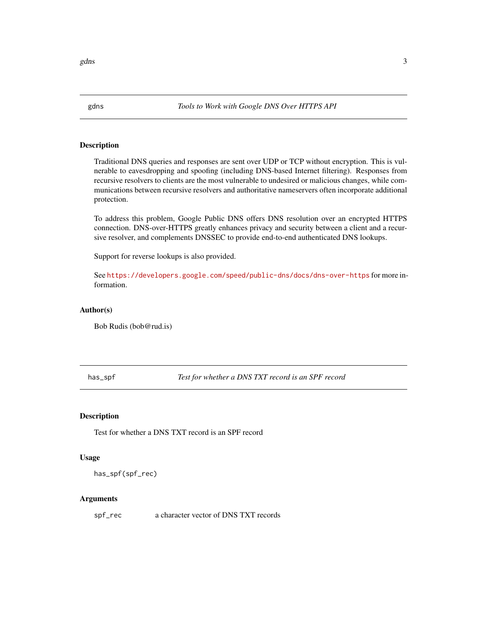<span id="page-2-0"></span>

#### Description

Traditional DNS queries and responses are sent over UDP or TCP without encryption. This is vulnerable to eavesdropping and spoofing (including DNS-based Internet filtering). Responses from recursive resolvers to clients are the most vulnerable to undesired or malicious changes, while communications between recursive resolvers and authoritative nameservers often incorporate additional protection.

To address this problem, Google Public DNS offers DNS resolution over an encrypted HTTPS connection. DNS-over-HTTPS greatly enhances privacy and security between a client and a recursive resolver, and complements DNSSEC to provide end-to-end authenticated DNS lookups.

Support for reverse lookups is also provided.

See <https://developers.google.com/speed/public-dns/docs/dns-over-https> for more information.

#### Author(s)

Bob Rudis (bob@rud.is)

has\_spf *Test for whether a DNS TXT record is an SPF record*

#### Description

Test for whether a DNS TXT record is an SPF record

#### Usage

has\_spf(spf\_rec)

#### Arguments

spf\_rec a character vector of DNS TXT records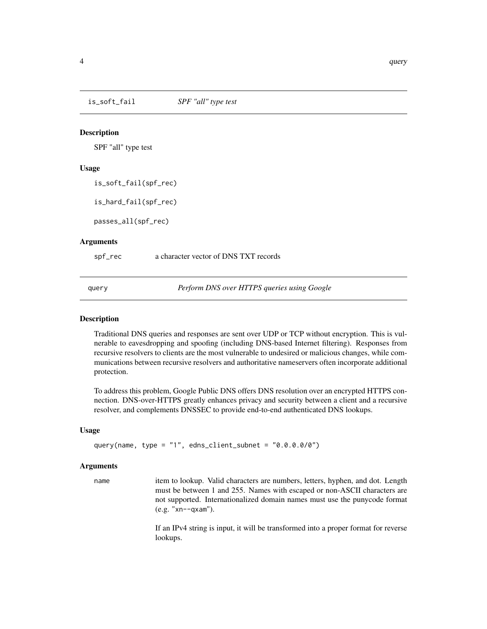<span id="page-3-0"></span>is\_soft\_fail *SPF "all" type test*

#### Description

SPF "all" type test

#### Usage

is\_soft\_fail(spf\_rec)

is\_hard\_fail(spf\_rec)

passes\_all(spf\_rec)

#### **Arguments**

spf\_rec a character vector of DNS TXT records

query *Perform DNS over HTTPS queries using Google*

#### Description

Traditional DNS queries and responses are sent over UDP or TCP without encryption. This is vulnerable to eavesdropping and spoofing (including DNS-based Internet filtering). Responses from recursive resolvers to clients are the most vulnerable to undesired or malicious changes, while communications between recursive resolvers and authoritative nameservers often incorporate additional protection.

To address this problem, Google Public DNS offers DNS resolution over an encrypted HTTPS connection. DNS-over-HTTPS greatly enhances privacy and security between a client and a recursive resolver, and complements DNSSEC to provide end-to-end authenticated DNS lookups.

#### Usage

query(name, type = "1", edns\_client\_subnet = "0.0.0.0/0")

#### Arguments

name item to lookup. Valid characters are numbers, letters, hyphen, and dot. Length must be between 1 and 255. Names with escaped or non-ASCII characters are not supported. Internationalized domain names must use the punycode format (e.g. "xn--qxam").

> If an IPv4 string is input, it will be transformed into a proper format for reverse lookups.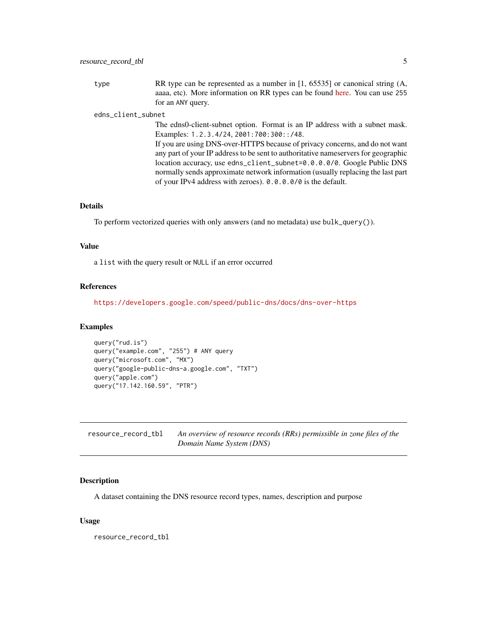<span id="page-4-0"></span>type RR type can be represented as a number in [1, 65535] or canonical string (A, aaaa, etc). More information on RR types can be found [here.](http://www.iana.org/assignments/dns-parameters/dns-parameters.xhtml#dns-parameters-4) You can use 255 for an ANY query.

#### edns\_client\_subnet

The edns0-client-subnet option. Format is an IP address with a subnet mask. Examples: 1.2.3.4/24, 2001:700:300::/48. If you are using DNS-over-HTTPS because of privacy concerns, and do not want

any part of your IP address to be sent to authoritative nameservers for geographic location accuracy, use edns\_client\_subnet=0.0.0.0/0. Google Public DNS normally sends approximate network information (usually replacing the last part of your IPv4 address with zeroes). 0.0.0.0/0 is the default.

#### Details

To perform vectorized queries with only answers (and no metadata) use bulk\_query()).

#### Value

a list with the query result or NULL if an error occurred

#### References

<https://developers.google.com/speed/public-dns/docs/dns-over-https>

#### Examples

```
query("rud.is")
query("example.com", "255") # ANY query
query("microsoft.com", "MX")
query("google-public-dns-a.google.com", "TXT")
query("apple.com")
query("17.142.160.59", "PTR")
```

| resource_record_tbl | An overview of resource records (RRs) permissible in zone files of the |
|---------------------|------------------------------------------------------------------------|
|                     | Domain Name System (DNS)                                               |

#### Description

A dataset containing the DNS resource record types, names, description and purpose

#### Usage

resource\_record\_tbl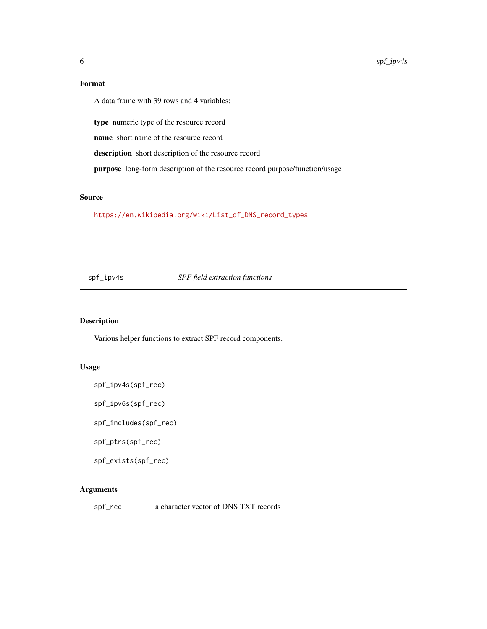#### Format

A data frame with 39 rows and 4 variables:

type numeric type of the resource record

name short name of the resource record

description short description of the resource record

purpose long-form description of the resource record purpose/function/usage

#### Source

[https://en.wikipedia.org/wiki/List\\_of\\_DNS\\_record\\_types](https://en.wikipedia.org/wiki/List_of_DNS_record_types)

spf\_ipv4s *SPF field extraction functions*

#### Description

Various helper functions to extract SPF record components.

#### Usage

```
spf_ipv4s(spf_rec)
```
spf\_ipv6s(spf\_rec)

spf\_includes(spf\_rec)

spf\_ptrs(spf\_rec)

spf\_exists(spf\_rec)

#### Arguments

spf\_rec a character vector of DNS TXT records

<span id="page-5-0"></span>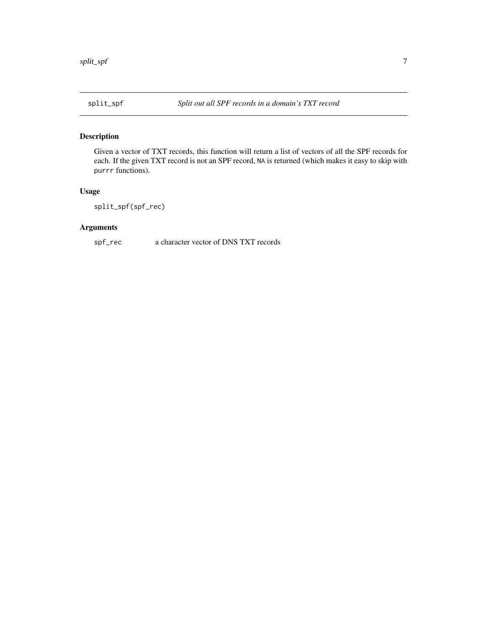#### <span id="page-6-0"></span>Description

Given a vector of TXT records, this function will return a list of vectors of all the SPF records for each. If the given TXT record is not an SPF record, NA is returned (which makes it easy to skip with purrr functions).

#### Usage

split\_spf(spf\_rec)

#### Arguments

spf\_rec a character vector of DNS TXT records